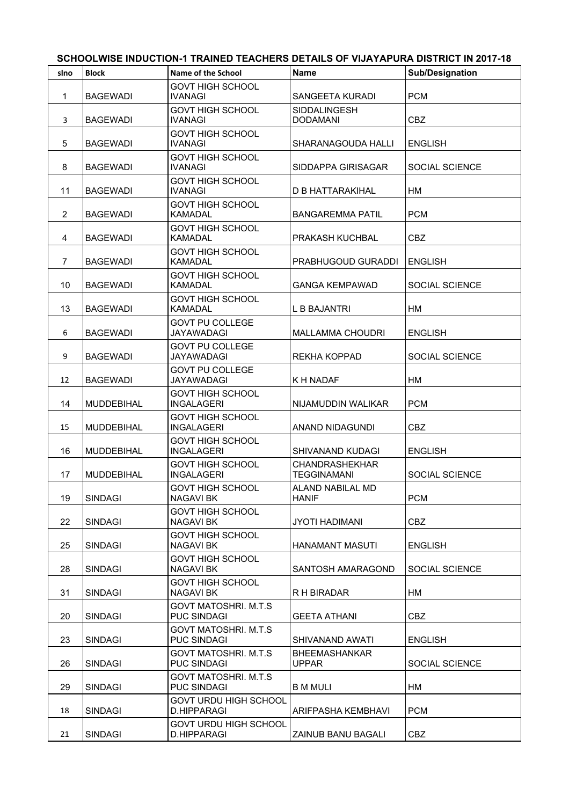| slno           | <b>Block</b>      | Name of the School                                | <b>Name</b>                                 | <b>Sub/Designation</b> |
|----------------|-------------------|---------------------------------------------------|---------------------------------------------|------------------------|
| 1              | <b>BAGEWADI</b>   | <b>GOVT HIGH SCHOOL</b><br><b>IVANAGI</b>         | SANGEETA KURADI                             | <b>PCM</b>             |
| 3              | <b>BAGEWADI</b>   | <b>GOVT HIGH SCHOOL</b><br><b>IVANAGI</b>         | <b>SIDDALINGESH</b><br><b>DODAMANI</b>      | <b>CBZ</b>             |
| 5              | <b>BAGEWADI</b>   | <b>GOVT HIGH SCHOOL</b><br><b>IVANAGI</b>         | SHARANAGOUDA HALLI                          | <b>ENGLISH</b>         |
| 8              | <b>BAGEWADI</b>   | <b>GOVT HIGH SCHOOL</b><br><b>IVANAGI</b>         | SIDDAPPA GIRISAGAR                          | SOCIAL SCIENCE         |
| 11             | <b>BAGEWADI</b>   | <b>GOVT HIGH SCHOOL</b><br><b>IVANAGI</b>         | D B HATTARAKIHAL                            | HM                     |
| $\overline{c}$ | <b>BAGEWADI</b>   | <b>GOVT HIGH SCHOOL</b><br><b>KAMADAL</b>         | <b>BANGAREMMA PATIL</b>                     | <b>PCM</b>             |
| 4              | <b>BAGEWADI</b>   | <b>GOVT HIGH SCHOOL</b><br><b>KAMADAL</b>         | <b>PRAKASH KUCHBAL</b>                      | <b>CBZ</b>             |
| $\overline{7}$ | <b>BAGEWADI</b>   | <b>GOVT HIGH SCHOOL</b><br><b>KAMADAL</b>         | <b>PRABHUGOUD GURADDI</b>                   | <b>ENGLISH</b>         |
| 10             | <b>BAGEWADI</b>   | <b>GOVT HIGH SCHOOL</b><br><b>KAMADAL</b>         | <b>GANGA KEMPAWAD</b>                       | <b>SOCIAL SCIENCE</b>  |
| 13             | <b>BAGEWADI</b>   | <b>GOVT HIGH SCHOOL</b><br><b>KAMADAL</b>         | L B BAJANTRI                                | HМ                     |
| 6              | <b>BAGEWADI</b>   | <b>GOVT PU COLLEGE</b><br><b>JAYAWADAGI</b>       | <b>MALLAMMA CHOUDRI</b>                     | <b>ENGLISH</b>         |
| 9              | <b>BAGEWADI</b>   | <b>GOVT PU COLLEGE</b><br>JAYAWADAGI              | <b>REKHA KOPPAD</b>                         | <b>SOCIAL SCIENCE</b>  |
| 12             | <b>BAGEWADI</b>   | <b>GOVT PU COLLEGE</b><br><b>JAYAWADAGI</b>       | K H NADAF                                   | HM                     |
| 14             | <b>MUDDEBIHAL</b> | <b>GOVT HIGH SCHOOL</b><br><b>INGALAGERI</b>      | NIJAMUDDIN WALIKAR                          | <b>PCM</b>             |
| 15             | <b>MUDDEBIHAL</b> | <b>GOVT HIGH SCHOOL</b><br><b>INGALAGERI</b>      | ANAND NIDAGUNDI                             | <b>CBZ</b>             |
| 16             | <b>MUDDEBIHAL</b> | <b>GOVT HIGH SCHOOL</b><br><b>INGALAGERI</b>      | <b>SHIVANAND KUDAGI</b>                     | ENGLISH                |
| 17             | <b>MUDDEBIHAL</b> | <b>GOVT HIGH SCHOOL</b><br><b>INGALAGERI</b>      | <b>CHANDRASHEKHAR</b><br><b>TEGGINAMANI</b> | SOCIAL SCIENCE         |
| 19             | <b>SINDAGI</b>    | <b>GOVT HIGH SCHOOL</b><br><b>NAGAVI BK</b>       | ALAND NABILAL MD<br><b>HANIF</b>            | <b>PCM</b>             |
| 22             | <b>SINDAGI</b>    | <b>GOVT HIGH SCHOOL</b><br><b>NAGAVI BK</b>       | <b>JYOTI HADIMANI</b>                       | <b>CBZ</b>             |
| 25             | <b>SINDAGI</b>    | <b>GOVT HIGH SCHOOL</b><br><b>NAGAVI BK</b>       | <b>HANAMANT MASUTI</b>                      | <b>ENGLISH</b>         |
| 28             | <b>SINDAGI</b>    | <b>GOVT HIGH SCHOOL</b><br><b>NAGAVI BK</b>       | SANTOSH AMARAGOND                           | SOCIAL SCIENCE         |
| 31             | <b>SINDAGI</b>    | <b>GOVT HIGH SCHOOL</b><br><b>NAGAVI BK</b>       | R H BIRADAR                                 | HM                     |
| 20             | <b>SINDAGI</b>    | <b>GOVT MATOSHRI, M.T.S</b><br><b>PUC SINDAGI</b> | <b>GEETA ATHANI</b>                         | <b>CBZ</b>             |
| 23             | <b>SINDAGI</b>    | <b>GOVT MATOSHRI, M.T.S</b><br><b>PUC SINDAGI</b> | SHIVANAND AWATI                             | <b>ENGLISH</b>         |
| 26             | <b>SINDAGI</b>    | <b>GOVT MATOSHRI. M.T.S</b><br><b>PUC SINDAGI</b> | <b>BHEEMASHANKAR</b><br><b>UPPAR</b>        | SOCIAL SCIENCE         |
| 29             | SINDAGI           | <b>GOVT MATOSHRI. M.T.S</b><br><b>PUC SINDAGI</b> | <b>B M MULI</b>                             | HM                     |
| 18             | <b>SINDAGI</b>    | <b>GOVT URDU HIGH SCHOOL</b><br>D.HIPPARAGI       | ARIFPASHA KEMBHAVI                          | <b>PCM</b>             |
| 21             | <b>SINDAGI</b>    | <b>GOVT URDU HIGH SCHOOL</b><br>D.HIPPARAGI       | ZAINUB BANU BAGALI                          | <b>CBZ</b>             |